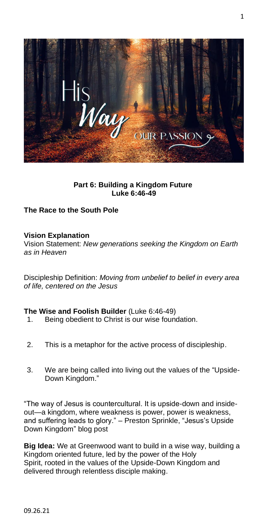

**Part 6: Building a Kingdom Future Luke 6:46-49**

# **The Race to the South Pole**

## **Vision Explanation**

Vision Statement: *New generations seeking the Kingdom on Earth as in Heaven*

Discipleship Definition: *Moving from unbelief to belief in every area of life, centered on the Jesus*

## **The Wise and Foolish Builder** (Luke 6:46-49)

- 1. Being obedient to Christ is our wise foundation.
- 2. This is a metaphor for the active process of discipleship.
- 3. We are being called into living out the values of the "Upside-Down Kingdom."

"The way of Jesus is countercultural. It is upside-down and insideout—a kingdom, where weakness is power, power is weakness, and suffering leads to glory." – Preston Sprinkle, "Jesus's Upside Down Kingdom" blog post

**Big Idea:** We at Greenwood want to build in a wise way, building a Kingdom oriented future, led by the power of the Holy Spirit, rooted in the values of the Upside-Down Kingdom and delivered through relentless disciple making.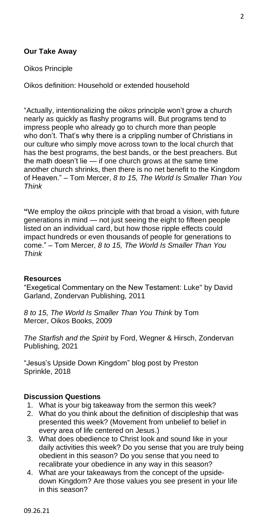## **Our Take Away**

### Oikos Principle

Oikos definition: Household or extended household

"Actually, intentionalizing the *oikos* principle won't grow a church nearly as quickly as flashy programs will. But programs tend to impress people who already go to church more than people who don't. That's why there is a crippling number of Christians in our culture who simply move across town to the local church that has the best programs, the best bands, or the best preachers. But the math doesn't lie — if one church grows at the same time another church shrinks, then there is no net benefit to the Kingdom of Heaven." – Tom Mercer, *8 to 15, The World Is Smaller Than You Think*

**"**We employ the *oikos* principle with that broad a vision, with future generations in mind — not just seeing the eight to fifteen people listed on an individual card, but how those ripple effects could impact hundreds or even thousands of people for generations to come." – Tom Mercer*, 8 to 15, The World Is Smaller Than You Think*

#### **Resources**

"Exegetical Commentary on the New Testament: Luke" by David Garland, Zondervan Publishing, 2011

*8 to 15, The World Is Smaller Than You Think* by Tom Mercer, Oikos Books, 2009

*The Starfish and the Spirit* by Ford, Wegner & Hirsch, Zondervan Publishing, 2021

"Jesus's Upside Down Kingdom" blog post by Preston Sprinkle, 2018

## **Discussion Questions**

- 1. What is your big takeaway from the sermon this week?
- 2. What do you think about the definition of discipleship that was presented this week? (Movement from unbelief to belief in every area of life centered on Jesus.)
- 3. What does obedience to Christ look and sound like in your daily activities this week? Do you sense that you are truly being obedient in this season? Do you sense that you need to recalibrate your obedience in any way in this season?
- 4. What are your takeaways from the concept of the upsidedown Kingdom? Are those values you see present in your life in this season?